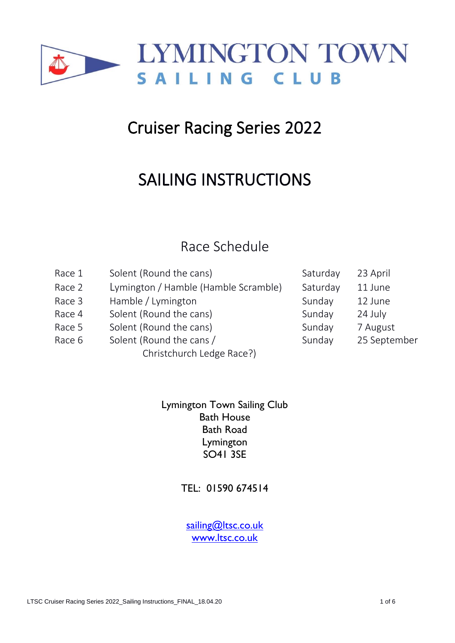

# Cruiser Racing Series 2022

# SAILING INSTRUCTIONS

# Race Schedule

| Race 1 | Solent (Round the cans)              | Saturday          | 23 April     |  |
|--------|--------------------------------------|-------------------|--------------|--|
| Race 2 | Lymington / Hamble (Hamble Scramble) | Saturday          | 11 June      |  |
| Race 3 | Hamble / Lymington                   | Sunday            | 12 June      |  |
| Race 4 | Solent (Round the cans)              | Sunday<br>24 July |              |  |
| Race 5 | Solent (Round the cans)              | Sunday            | 7 August     |  |
| Race 6 | Solent (Round the cans /             | Sunday            | 25 September |  |
|        | Christchurch Ledge Race?)            |                   |              |  |

Lymington Town Sailing Club Bath House Bath Road Lymington SO41 3SE

TEL: 01590 674514

sailing[@ltsc.co.uk](mailto:alastair@ltsc.co.uk) [www.ltsc.co.uk](http://www.ltsc.co.uk/)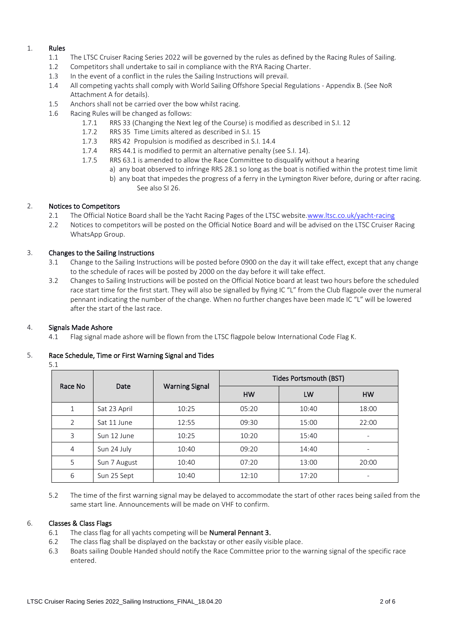#### 1. Rules

- 1.1 The LTSC Cruiser Racing Series 2022 will be governed by the rules as defined by the Racing Rules of Sailing.
- 1.2 Competitors shall undertake to sail in compliance with the RYA Racing Charter.
- 1.3 In the event of a conflict in the rules the Sailing Instructions will prevail.
- 1.4 All competing yachts shall comply with World Sailing Offshore Special Regulations Appendix B. (See NoR Attachment A for details).
- 1.5 Anchors shall not be carried over the bow whilst racing.
- 1.6 Racing Rules will be changed as follows:
	- 1.7.1 RRS 33 (Changing the Next leg of the Course) is modified as described in S.I. 12
	- 1.7.2 RRS 35 Time Limits altered as described in S.I. 15
	- 1.7.3 RRS 42 Propulsion is modified as described in S.I. 14.4
	- 1.7.4 RRS 44.1 is modified to permit an alternative penalty (see S.I. 14).
	- 1.7.5 RRS 63.1 is amended to allow the Race Committee to disqualify without a hearing
		- a) any boat observed to infringe RRS 28.1 so long as the boat is notified within the protest time limit
			- b) any boat that impedes the progress of a ferry in the Lymington River before, during or after racing. See also SI 26.

# 2. Notices to Competitors

- 2.1 The Official Notice Board shall be the Yacht Racing Pages of the LTSC website[.www.ltsc.co.uk/yacht-racing](https://www.ltsc.co.uk/yacht-racing)
- 2.2 Notices to competitors will be posted on the Official Notice Board and will be advised on the LTSC Cruiser Racing WhatsApp Group.

# 3. Changes to the Sailing Instructions

- 3.1 Change to the Sailing Instructions will be posted before 0900 on the day it will take effect, except that any change to the schedule of races will be posted by 2000 on the day before it will take effect.
- 3.2 Changes to Sailing Instructions will be posted on the Official Notice board at least two hours before the scheduled race start time for the first start. They will also be signalled by flying IC "L" from the Club flagpole over the numeral pennant indicating the number of the change. When no further changes have been made IC "L" will be lowered after the start of the last race.

# 4. Signals Made Ashore

4.1 Flag signal made ashore will be flown from the LTSC flagpole below International Code Flag K.

# 5. Race Schedule, Time or First Warning Signal and Tides

5.1

| Race No        | Date         | <b>Warning Signal</b> | <b>Tides Portsmouth (BST)</b> |       |           |
|----------------|--------------|-----------------------|-------------------------------|-------|-----------|
|                |              |                       | <b>HW</b>                     | LW    | <b>HW</b> |
|                | Sat 23 April | 10:25                 | 05:20                         | 10:40 | 18:00     |
| $\overline{2}$ | Sat 11 June  | 12:55                 | 09:30                         | 15:00 | 22:00     |
| 3              | Sun 12 June  | 10:25                 | 10:20                         | 15:40 | -         |
| 4              | Sun 24 July  | 10:40                 | 09:20                         | 14:40 | -         |
| 5              | Sun 7 August | 10:40                 | 07:20                         | 13:00 | 20:00     |
| 6              | Sun 25 Sept  | 10:40                 | 12:10                         | 17:20 |           |

5.2 The time of the first warning signal may be delayed to accommodate the start of other races being sailed from the same start line. Announcements will be made on VHF to confirm.

# 6. Classes & Class Flags

- 6.1 The class flag for all yachts competing will be Numeral Pennant 3.
- 6.2 The class flag shall be displayed on the backstay or other easily visible place.
- 6.3 Boats sailing Double Handed should notify the Race Committee prior to the warning signal of the specific race entered.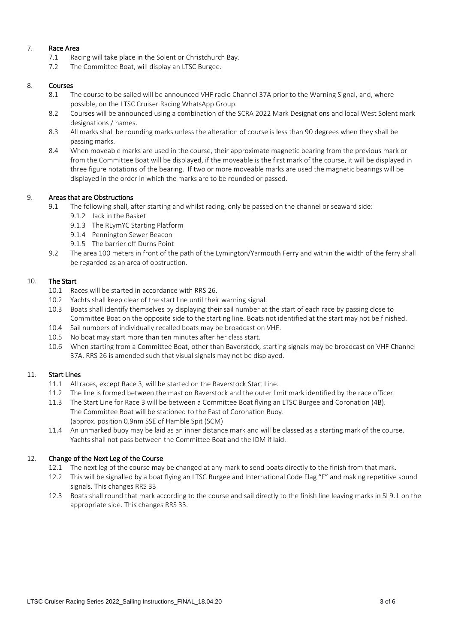# 7. Race Area

- 7.1 Racing will take place in the Solent or Christchurch Bay.
- 7.2 The Committee Boat, will display an LTSC Burgee.

# 8. Courses

- 8.1 The course to be sailed will be announced VHF radio Channel 37A prior to the Warning Signal, and, where possible, on the LTSC Cruiser Racing WhatsApp Group.
- 8.2 Courses will be announced using a combination of the SCRA 2022 Mark Designations and local West Solent mark designations / names.
- 8.3 All marks shall be rounding marks unless the alteration of course is less than 90 degrees when they shall be passing marks.
- 8.4 When moveable marks are used in the course, their approximate magnetic bearing from the previous mark or from the Committee Boat will be displayed, if the moveable is the first mark of the course, it will be displayed in three figure notations of the bearing. If two or more moveable marks are used the magnetic bearings will be displayed in the order in which the marks are to be rounded or passed.

# 9. Areas that are Obstructions

- 9.1 The following shall, after starting and whilst racing, only be passed on the channel or seaward side:
	- 9.1.2 Jack in the Basket
	- 9.1.3 The RLymYC Starting Platform
	- 9.1.4 Pennington Sewer Beacon
	- 9.1.5 The barrier off Durns Point
- 9.2 The area 100 meters in front of the path of the Lymington/Yarmouth Ferry and within the width of the ferry shall be regarded as an area of obstruction.

#### 10. The Start

- 10.1 Races will be started in accordance with RRS 26.
- 10.2 Yachts shall keep clear of the start line until their warning signal.
- 10.3 Boats shall identify themselves by displaying their sail number at the start of each race by passing close to Committee Boat on the opposite side to the starting line. Boats not identified at the start may not be finished.
- 10.4 Sail numbers of individually recalled boats may be broadcast on VHF.
- 10.5 No boat may start more than ten minutes after her class start.
- 10.6 When starting from a Committee Boat, other than Baverstock, starting signals may be broadcast on VHF Channel 37A. RRS 26 is amended such that visual signals may not be displayed.

# 11. Start Lines

- 11.1 All races, except Race 3, will be started on the Baverstock Start Line.
- 11.2 The line is formed between the mast on Baverstock and the outer limit mark identified by the race officer.
- 11.3 The Start Line for Race 3 will be between a Committee Boat flying an LTSC Burgee and Coronation (4B). The Committee Boat will be stationed to the East of Coronation Buoy. (approx. position 0.9nm SSE of Hamble Spit (SCM)
- 11.4 An unmarked buoy may be laid as an inner distance mark and will be classed as a starting mark of the course. Yachts shall not pass between the Committee Boat and the IDM if laid.

# 12. Change of the Next Leg of the Course

- 12.1 The next leg of the course may be changed at any mark to send boats directly to the finish from that mark.
- 12.2 This will be signalled by a boat flying an LTSC Burgee and International Code Flag "F" and making repetitive sound signals. This changes RRS 33
- 12.3 Boats shall round that mark according to the course and sail directly to the finish line leaving marks in SI 9.1 on the appropriate side. This changes RRS 33.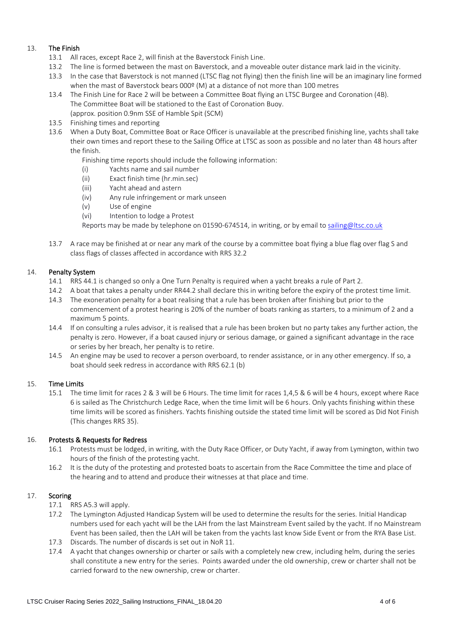# 13. The Finish

- 13.1 All races, except Race 2, will finish at the Baverstock Finish Line.
- 13.2 The line is formed between the mast on Baverstock, and a moveable outer distance mark laid in the vicinity.
- 13.3 In the case that Baverstock is not manned (LTSC flag not flying) then the finish line will be an imaginary line formed when the mast of Baverstock bears 000º (M) at a distance of not more than 100 metres
- 13.4 The Finish Line for Race 2 will be between a Committee Boat flying an LTSC Burgee and Coronation (4B). The Committee Boat will be stationed to the East of Coronation Buoy. (approx. position 0.9nm SSE of Hamble Spit (SCM)
- 13.5 Finishing times and reporting
- 13.6 When a Duty Boat, Committee Boat or Race Officer is unavailable at the prescribed finishing line, yachts shall take their own times and report these to the Sailing Office at LTSC as soon as possible and no later than 48 hours after the finish.
	- Finishing time reports should include the following information:
	- (i) Yachts name and sail number
	- (ii) Exact finish time (hr.min.sec)
	- (iii) Yacht ahead and astern
	- (iv) Any rule infringement or mark unseen
	- (v) Use of engine
	- (vi) Intention to lodge a Protest

Reports may be made by telephone on 01590-674514, in writing, or by email to [sailing@ltsc.co.uk](mailto:sailing@ltsc.co.uk)

13.7 A race may be finished at or near any mark of the course by a committee boat flying a blue flag over flag S and class flags of classes affected in accordance with RRS 32.2

#### 14. Penalty System

- 14.1 RRS 44.1 is changed so only a One Turn Penalty is required when a yacht breaks a rule of Part 2.
- 14.2 A boat that takes a penalty under RR44.2 shall declare this in writing before the expiry of the protest time limit.
- 14.3 The exoneration penalty for a boat realising that a rule has been broken after finishing but prior to the commencement of a protest hearing is 20% of the number of boats ranking as starters, to a minimum of 2 and a maximum 5 points.
- 14.4 If on consulting a rules advisor, it is realised that a rule has been broken but no party takes any further action, the penalty is zero. However, if a boat caused injury or serious damage, or gained a significant advantage in the race or series by her breach, her penalty is to retire.
- 14.5 An engine may be used to recover a person overboard, to render assistance, or in any other emergency. If so, a boat should seek redress in accordance with RRS 62.1 (b)

# 15. Time Limits

15.1 The time limit for races 2 & 3 will be 6 Hours. The time limit for races 1,4,5 & 6 will be 4 hours, except where Race 6 is sailed as The Christchurch Ledge Race, when the time limit will be 6 hours. Only yachts finishing within these time limits will be scored as finishers. Yachts finishing outside the stated time limit will be scored as Did Not Finish (This changes RRS 35).

# 16. Protests & Requests for Redress

- 16.1 Protests must be lodged, in writing, with the Duty Race Officer, or Duty Yacht, if away from Lymington, within two hours of the finish of the protesting yacht.
- 16.2 It is the duty of the protesting and protested boats to ascertain from the Race Committee the time and place of the hearing and to attend and produce their witnesses at that place and time.

# 17. Scoring

- 17.1 RRS A5.3 will apply.
- 17.2 The Lymington Adjusted Handicap System will be used to determine the results for the series. Initial Handicap numbers used for each yacht will be the LAH from the last Mainstream Event sailed by the yacht. If no Mainstream Event has been sailed, then the LAH will be taken from the yachts last know Side Event or from the RYA Base List.
- 17.3 Discards. The number of discards is set out in NoR 11.
- 17.4 A yacht that changes ownership or charter or sails with a completely new crew, including helm, during the series shall constitute a new entry for the series. Points awarded under the old ownership, crew or charter shall not be carried forward to the new ownership, crew or charter.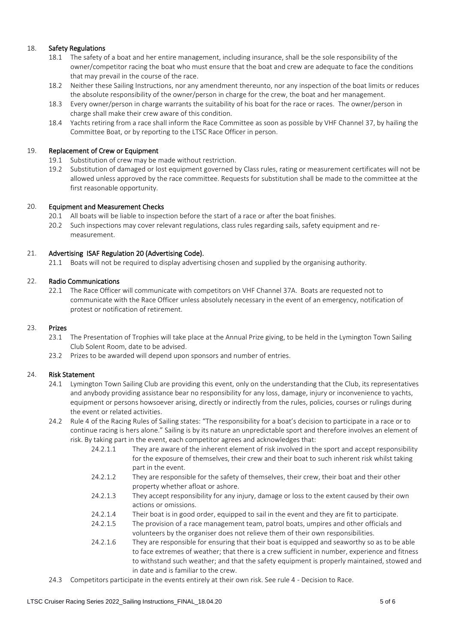# 18. Safety Regulations

- 18.1 The safety of a boat and her entire management, including insurance, shall be the sole responsibility of the owner/competitor racing the boat who must ensure that the boat and crew are adequate to face the conditions that may prevail in the course of the race.
- 18.2 Neither these Sailing Instructions, nor any amendment thereunto, nor any inspection of the boat limits or reduces the absolute responsibility of the owner/person in charge for the crew, the boat and her management.
- 18.3 Every owner/person in charge warrants the suitability of his boat for the race or races. The owner/person in charge shall make their crew aware of this condition.
- 18.4 Yachts retiring from a race shall inform the Race Committee as soon as possible by VHF Channel 37, by hailing the Committee Boat, or by reporting to the LTSC Race Officer in person.

#### 19. Replacement of Crew or Equipment

- 19.1 Substitution of crew may be made without restriction.
- 19.2 Substitution of damaged or lost equipment governed by Class rules, rating or measurement certificates will not be allowed unless approved by the race committee. Requests for substitution shall be made to the committee at the first reasonable opportunity.

# 20. Equipment and Measurement Checks

- 20.1 All boats will be liable to inspection before the start of a race or after the boat finishes.
- 20.2 Such inspections may cover relevant regulations, class rules regarding sails, safety equipment and remeasurement.

# 21. Advertising ISAF Regulation 20 (Advertising Code).

21.1 Boats will not be required to display advertising chosen and supplied by the organising authority.

# 22. Radio Communications

22.1 The Race Officer will communicate with competitors on VHF Channel 37A. Boats are requested not to communicate with the Race Officer unless absolutely necessary in the event of an emergency, notification of protest or notification of retirement.

#### 23. Prizes

- 23.1 The Presentation of Trophies will take place at the Annual Prize giving, to be held in the Lymington Town Sailing Club Solent Room, date to be advised.
- 23.2 Prizes to be awarded will depend upon sponsors and number of entries.

#### 24. Risk Statement

- 24.1 Lymington Town Sailing Club are providing this event, only on the understanding that the Club, its representatives and anybody providing assistance bear no responsibility for any loss, damage, injury or inconvenience to yachts, equipment or persons howsoever arising, directly or indirectly from the rules, policies, courses or rulings during the event or related activities.
- 24.2 Rule 4 of the Racing Rules of Sailing states: "The responsibility for a boat's decision to participate in a race or to continue racing is hers alone." Sailing is by its nature an unpredictable sport and therefore involves an element of risk. By taking part in the event, each competitor agrees and acknowledges that:
	- 24.2.1.1 They are aware of the inherent element of risk involved in the sport and accept responsibility for the exposure of themselves, their crew and their boat to such inherent risk whilst taking part in the event.
	- 24.2.1.2 They are responsible for the safety of themselves, their crew, their boat and their other property whether afloat or ashore.
	- 24.2.1.3 They accept responsibility for any injury, damage or loss to the extent caused by their own actions or omissions.
	- 24.2.1.4 Their boat is in good order, equipped to sail in the event and they are fit to participate.
	- 24.2.1.5 The provision of a race management team, patrol boats, umpires and other officials and volunteers by the organiser does not relieve them of their own responsibilities.
	- 24.2.1.6 They are responsible for ensuring that their boat is equipped and seaworthy so as to be able to face extremes of weather; that there is a crew sufficient in number, experience and fitness to withstand such weather; and that the safety equipment is properly maintained, stowed and in date and is familiar to the crew.
- 24.3 Competitors participate in the events entirely at their own risk. See rule 4 Decision to Race.